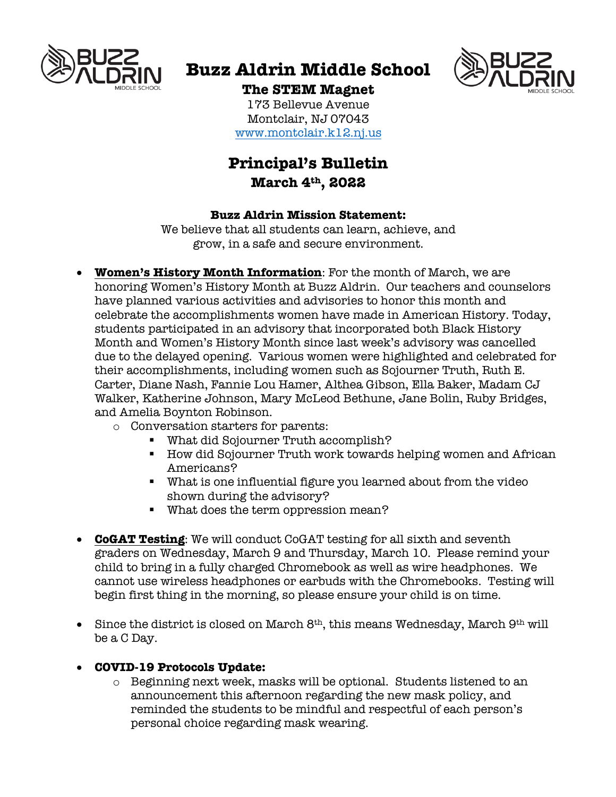

# **Buzz Aldrin Middle School**



## **The STEM Magnet**

173 Bellevue Avenue Montclair, NJ 07043 www.montclair.k12.nj.us

# **Principal's Bulletin March 4th, 2022**

#### **Buzz Aldrin Mission Statement:**

We believe that all students can learn, achieve, and grow, in a safe and secure environment.

- **Women's History Month Information**: For the month of March, we are honoring Women's History Month at Buzz Aldrin. Our teachers and counselors have planned various activities and advisories to honor this month and celebrate the accomplishments women have made in American History. Today, students participated in an advisory that incorporated both Black History Month and Women's History Month since last week's advisory was cancelled due to the delayed opening. Various women were highlighted and celebrated for their accomplishments, including women such as Sojourner Truth, Ruth E. Carter, Diane Nash, Fannie Lou Hamer, Althea Gibson, Ella Baker, Madam CJ Walker, Katherine Johnson, Mary McLeod Bethune, Jane Bolin, Ruby Bridges, and Amelia Boynton Robinson.
	- o Conversation starters for parents:
		- § What did Sojourner Truth accomplish?
		- How did Sojourner Truth work towards helping women and African Americans?
		- § What is one influential figure you learned about from the video shown during the advisory?
		- § What does the term oppression mean?
- **CoGAT Testing**: We will conduct CoGAT testing for all sixth and seventh graders on Wednesday, March 9 and Thursday, March 10. Please remind your child to bring in a fully charged Chromebook as well as wire headphones. We cannot use wireless headphones or earbuds with the Chromebooks. Testing will begin first thing in the morning, so please ensure your child is on time.
- Since the district is closed on March  $8<sup>th</sup>$ , this means Wednesday, March  $9<sup>th</sup>$  will be a C Day.
- **COVID-19 Protocols Update:**
	- $\circ$  Beginning next week, masks will be optional. Students listened to an announcement this afternoon regarding the new mask policy, and reminded the students to be mindful and respectful of each person's personal choice regarding mask wearing.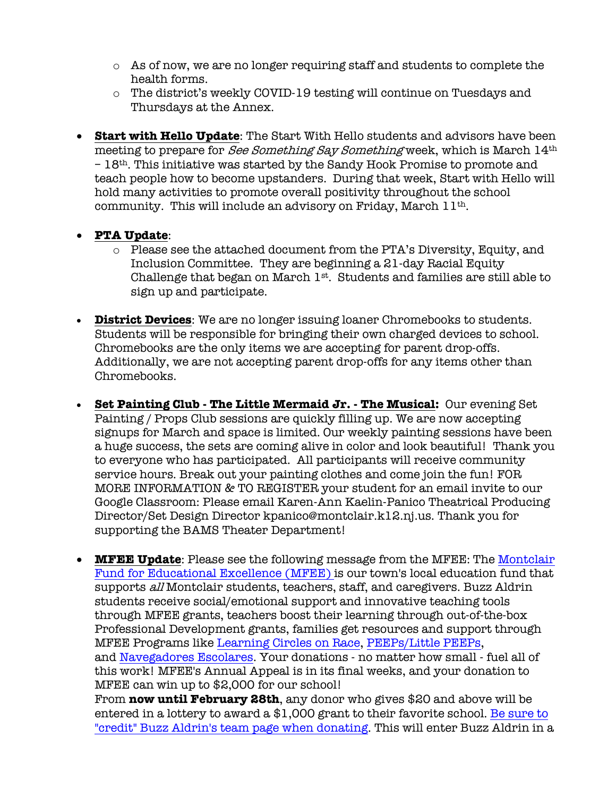- o As of now, we are no longer requiring staff and students to complete the health forms.
- o The district's weekly COVID-19 testing will continue on Tuesdays and Thursdays at the Annex.
- **Start with Hello Update**: The Start With Hello students and advisors have been meeting to prepare for See Something Say Something week, which is March 14th – 18th. This initiative was started by the Sandy Hook Promise to promote and teach people how to become upstanders. During that week, Start with Hello will hold many activities to promote overall positivity throughout the school community. This will include an advisory on Friday, March  $11<sup>th</sup>$ .

#### • **PTA Update**:

- o Please see the attached document from the PTA's Diversity, Equity, and Inclusion Committee. They are beginning a 21-day Racial Equity Challenge that began on March 1st. Students and families are still able to sign up and participate.
- **District Devices**: We are no longer issuing loaner Chromebooks to students. Students will be responsible for bringing their own charged devices to school. Chromebooks are the only items we are accepting for parent drop-offs. Additionally, we are not accepting parent drop-offs for any items other than Chromebooks.
- **Set Painting Club - The Little Mermaid Jr. - The Musical:** Our evening Set Painting / Props Club sessions are quickly filling up. We are now accepting signups for March and space is limited. Our weekly painting sessions have been a huge success, the sets are coming alive in color and look beautiful! Thank you to everyone who has participated. All participants will receive community service hours. Break out your painting clothes and come join the fun! FOR MORE INFORMATION & TO REGISTER your student for an email invite to our Google Classroom: Please email Karen-Ann Kaelin-Panico Theatrical Producing Director/Set Design Director kpanico@montclair.k12.nj.us. Thank you for supporting the BAMS Theater Department!
- **MFEE Update**: Please see the following message from the MFEE: The Montclair Fund for Educational Excellence (MFEE) is our town's local education fund that supports all Montclair students, teachers, staff, and caregivers. Buzz Aldrin students receive social/emotional support and innovative teaching tools through MFEE grants, teachers boost their learning through out-of-the-box Professional Development grants, families get resources and support through MFEE Programs like Learning Circles on Race, PEEPs/Little PEEPs, and Navegadores Escolares. Your donations - no matter how small - fuel all of this work! MFEE's Annual Appeal is in its final weeks, and your donation to MFEE can win up to \$2,000 for our school!

From **now until February 28th**, any donor who gives \$20 and above will be entered in a lottery to award a \$1,000 grant to their favorite school. Be sure to "credit" Buzz Aldrin's team page when donating. This will enter Buzz Aldrin in a